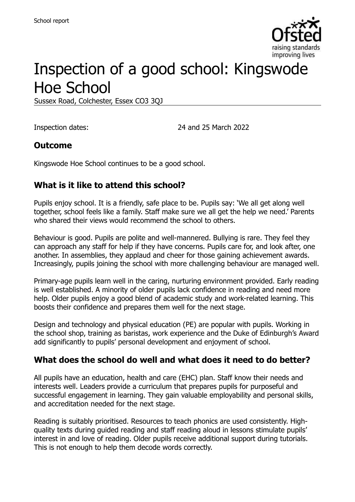

# Inspection of a good school: Kingswode Hoe School

Sussex Road, Colchester, Essex CO3 3QJ

Inspection dates: 24 and 25 March 2022

#### **Outcome**

Kingswode Hoe School continues to be a good school.

## **What is it like to attend this school?**

Pupils enjoy school. It is a friendly, safe place to be. Pupils say: 'We all get along well together, school feels like a family. Staff make sure we all get the help we need.' Parents who shared their views would recommend the school to others.

Behaviour is good. Pupils are polite and well-mannered. Bullying is rare. They feel they can approach any staff for help if they have concerns. Pupils care for, and look after, one another. In assemblies, they applaud and cheer for those gaining achievement awards. Increasingly, pupils joining the school with more challenging behaviour are managed well.

Primary-age pupils learn well in the caring, nurturing environment provided. Early reading is well established. A minority of older pupils lack confidence in reading and need more help. Older pupils enjoy a good blend of academic study and work-related learning. This boosts their confidence and prepares them well for the next stage.

Design and technology and physical education (PE) are popular with pupils. Working in the school shop, training as baristas, work experience and the Duke of Edinburgh's Award add significantly to pupils' personal development and enjoyment of school.

#### **What does the school do well and what does it need to do better?**

All pupils have an education, health and care (EHC) plan. Staff know their needs and interests well. Leaders provide a curriculum that prepares pupils for purposeful and successful engagement in learning. They gain valuable employability and personal skills, and accreditation needed for the next stage.

Reading is suitably prioritised. Resources to teach phonics are used consistently. Highquality texts during guided reading and staff reading aloud in lessons stimulate pupils' interest in and love of reading. Older pupils receive additional support during tutorials. This is not enough to help them decode words correctly.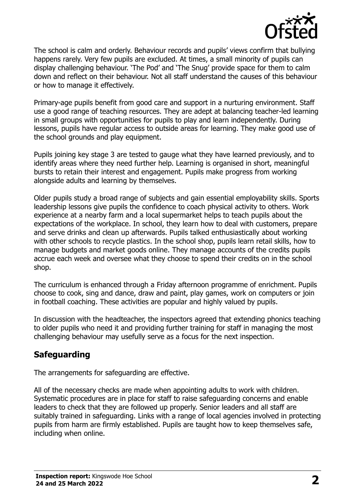

The school is calm and orderly. Behaviour records and pupils' views confirm that bullying happens rarely. Very few pupils are excluded. At times, a small minority of pupils can display challenging behaviour. 'The Pod' and 'The Snug' provide space for them to calm down and reflect on their behaviour. Not all staff understand the causes of this behaviour or how to manage it effectively.

Primary-age pupils benefit from good care and support in a nurturing environment. Staff use a good range of teaching resources. They are adept at balancing teacher-led learning in small groups with opportunities for pupils to play and learn independently. During lessons, pupils have regular access to outside areas for learning. They make good use of the school grounds and play equipment.

Pupils joining key stage 3 are tested to gauge what they have learned previously, and to identify areas where they need further help. Learning is organised in short, meaningful bursts to retain their interest and engagement. Pupils make progress from working alongside adults and learning by themselves.

Older pupils study a broad range of subjects and gain essential employability skills. Sports leadership lessons give pupils the confidence to coach physical activity to others. Work experience at a nearby farm and a local supermarket helps to teach pupils about the expectations of the workplace. In school, they learn how to deal with customers, prepare and serve drinks and clean up afterwards. Pupils talked enthusiastically about working with other schools to recycle plastics. In the school shop, pupils learn retail skills, how to manage budgets and market goods online. They manage accounts of the credits pupils accrue each week and oversee what they choose to spend their credits on in the school shop.

The curriculum is enhanced through a Friday afternoon programme of enrichment. Pupils choose to cook, sing and dance, draw and paint, play games, work on computers or join in football coaching. These activities are popular and highly valued by pupils.

In discussion with the headteacher, the inspectors agreed that extending phonics teaching to older pupils who need it and providing further training for staff in managing the most challenging behaviour may usefully serve as a focus for the next inspection.

# **Safeguarding**

The arrangements for safeguarding are effective.

All of the necessary checks are made when appointing adults to work with children. Systematic procedures are in place for staff to raise safeguarding concerns and enable leaders to check that they are followed up properly. Senior leaders and all staff are suitably trained in safeguarding. Links with a range of local agencies involved in protecting pupils from harm are firmly established. Pupils are taught how to keep themselves safe, including when online.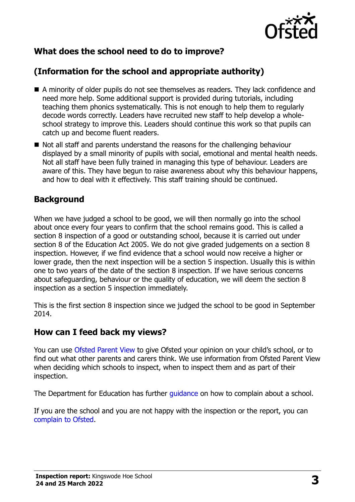

# **What does the school need to do to improve?**

# **(Information for the school and appropriate authority)**

- A minority of older pupils do not see themselves as readers. They lack confidence and need more help. Some additional support is provided during tutorials, including teaching them phonics systematically. This is not enough to help them to regularly decode words correctly. Leaders have recruited new staff to help develop a wholeschool strategy to improve this. Leaders should continue this work so that pupils can catch up and become fluent readers.
- Not all staff and parents understand the reasons for the challenging behaviour displayed by a small minority of pupils with social, emotional and mental health needs. Not all staff have been fully trained in managing this type of behaviour. Leaders are aware of this. They have begun to raise awareness about why this behaviour happens, and how to deal with it effectively. This staff training should be continued.

#### **Background**

When we have judged a school to be good, we will then normally go into the school about once every four years to confirm that the school remains good. This is called a section 8 inspection of a good or outstanding school, because it is carried out under section 8 of the Education Act 2005. We do not give graded judgements on a section 8 inspection. However, if we find evidence that a school would now receive a higher or lower grade, then the next inspection will be a section 5 inspection. Usually this is within one to two years of the date of the section 8 inspection. If we have serious concerns about safeguarding, behaviour or the quality of education, we will deem the section 8 inspection as a section 5 inspection immediately.

This is the first section 8 inspection since we judged the school to be good in September 2014.

#### **How can I feed back my views?**

You can use [Ofsted Parent View](https://parentview.ofsted.gov.uk/) to give Ofsted your opinion on your child's school, or to find out what other parents and carers think. We use information from Ofsted Parent View when deciding which schools to inspect, when to inspect them and as part of their inspection.

The Department for Education has further quidance on how to complain about a school.

If you are the school and you are not happy with the inspection or the report, you can [complain to Ofsted.](https://www.gov.uk/complain-ofsted-report)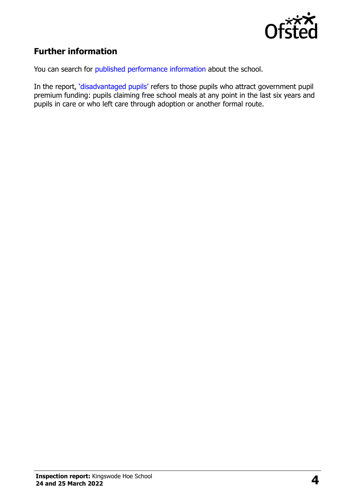

# **Further information**

You can search for [published performance information](http://www.compare-school-performance.service.gov.uk/) about the school.

In the report, '[disadvantaged pupils](http://www.gov.uk/guidance/pupil-premium-information-for-schools-and-alternative-provision-settings)' refers to those pupils who attract government pupil premium funding: pupils claiming free school meals at any point in the last six years and pupils in care or who left care through adoption or another formal route.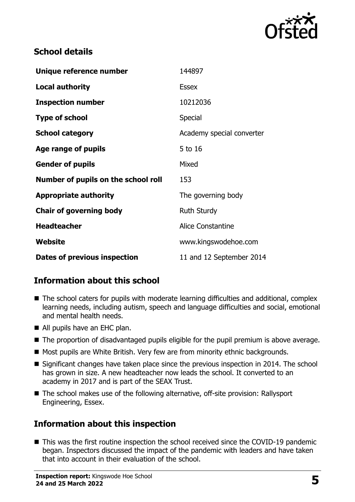

## **School details**

| Unique reference number             | 144897                    |
|-------------------------------------|---------------------------|
| <b>Local authority</b>              | <b>Essex</b>              |
| <b>Inspection number</b>            | 10212036                  |
| <b>Type of school</b>               | Special                   |
| <b>School category</b>              | Academy special converter |
| Age range of pupils                 | 5 to 16                   |
| <b>Gender of pupils</b>             | Mixed                     |
| Number of pupils on the school roll | 153                       |
| <b>Appropriate authority</b>        | The governing body        |
| <b>Chair of governing body</b>      | <b>Ruth Sturdy</b>        |
| <b>Headteacher</b>                  | Alice Constantine         |
| Website                             | www.kingswodehoe.com      |
| <b>Dates of previous inspection</b> | 11 and 12 September 2014  |

# **Information about this school**

- The school caters for pupils with moderate learning difficulties and additional, complex learning needs, including autism, speech and language difficulties and social, emotional and mental health needs.
- All pupils have an EHC plan.
- The proportion of disadvantaged pupils eligible for the pupil premium is above average.
- Most pupils are White British. Very few are from minority ethnic backgrounds.
- Significant changes have taken place since the previous inspection in 2014. The school has grown in size. A new headteacher now leads the school. It converted to an academy in 2017 and is part of the SEAX Trust.
- The school makes use of the following alternative, off-site provision: Rallysport Engineering, Essex.

# **Information about this inspection**

■ This was the first routine inspection the school received since the COVID-19 pandemic began. Inspectors discussed the impact of the pandemic with leaders and have taken that into account in their evaluation of the school.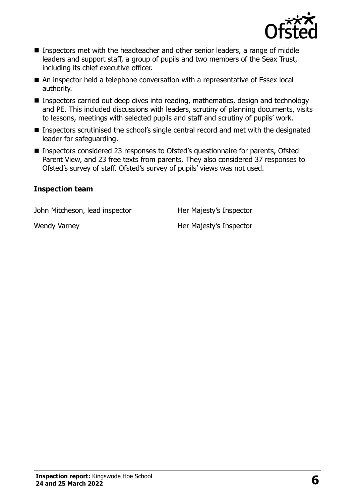

- Inspectors met with the headteacher and other senior leaders, a range of middle leaders and support staff, a group of pupils and two members of the Seax Trust, including its chief executive officer.
- An inspector held a telephone conversation with a representative of Essex local authority.
- Inspectors carried out deep dives into reading, mathematics, design and technology and PE. This included discussions with leaders, scrutiny of planning documents, visits to lessons, meetings with selected pupils and staff and scrutiny of pupils' work.
- Inspectors scrutinised the school's single central record and met with the designated leader for safeguarding.
- Inspectors considered 23 responses to Ofsted's questionnaire for parents, Ofsted Parent View, and 23 free texts from parents. They also considered 37 responses to Ofsted's survey of staff. Ofsted's survey of pupils' views was not used.

#### **Inspection team**

John Mitcheson, lead inspector **Her Majesty's Inspector** 

Wendy Varney New York Christian Majesty's Inspector